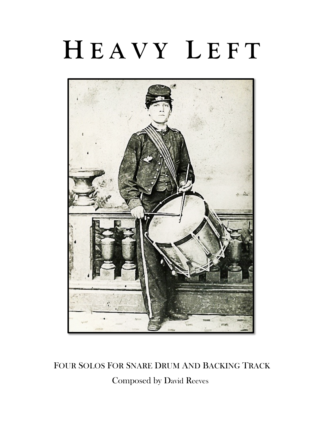## **H E A V Y L E F T**



 FOUR SOLOS FOR SNARE DRUM AND BACKING TRACK Composed by David Reeves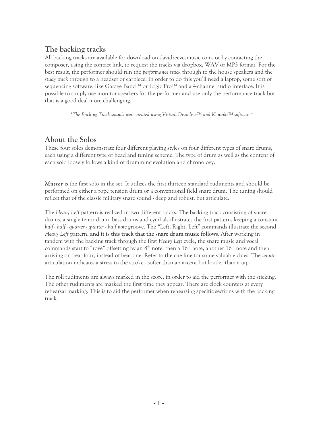## **The backing tracks**

All backing tracks are available for download on davidreevesmusic.com, or by contacting the composer, using the contact link, to request the tracks via dropbox, WAV or MP3 format. For the best result, the performer should run the *performance track* through to the house speakers and the *study track* through to a headset or earpiece. In order to do this you'll need a laptop, some sort of sequencing software, like Garage Band™ or Logic Pro™ and a 4-channel audio interface. It is possible to simply use monitor speakers for the performer and use only the performance track but that is a good deal more challenging.

*\*The Backing Track sounds were created using Virtual Drumline™ and Kontakt™ software\**

## **About the Solos**

These four solos demonstrate four different playing styles on four different types of snare drums, each using a different type of head and tuning scheme. The type of drum as well as the content of each solo loosely follows a kind of drumming evolution and chronology.

*Muster* is the first solo in the set. It utilizes the first thirteen standard rudiments and should be performed on either a rope tension drum or a conventional field snare drum. The tuning should reflect that of the classic military snare sound - deep and robust, but articulate.

The *Heavy Left* pattern is realized in two different tracks. The backing track consisting of snare drums, a single tenor drum, bass drums and cymbals illustrates the first pattern, keeping a constant *half - half - quarter - quarter - half note* groove. The "Left, Right, Left" commands illustrate the second *Heavy Left* pattern, **and it is this track that the snare drum music follows**. After working in tandem with the backing track through the first *Heavy Left* cycle, the snare music and vocal commands start to "rove" offsetting by an  $8<sup>th</sup>$  note, then a  $16<sup>th</sup>$  note, another  $16<sup>th</sup>$  note and then arriving on beat four, instead of beat one. Refer to the cue line for some valuable clues. The *tenuto*  articulation indicates a stress to the stroke - softer than an accent but louder than a tap.

The roll rudiments are always marked in the score, in order to aid the performer with the sticking. The other rudiments are marked the first time they appear. There are clock counters at every rehearsal marking. This is to aid the performer when rehearsing specific sections with the backing track.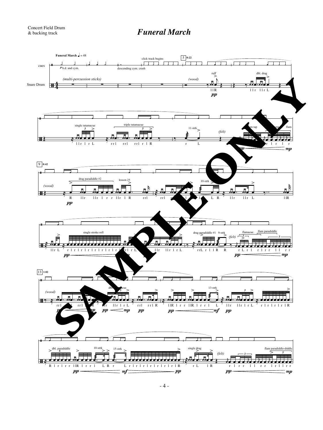## *Concert Field Drum*<br> *& backing track* **Funeral March**